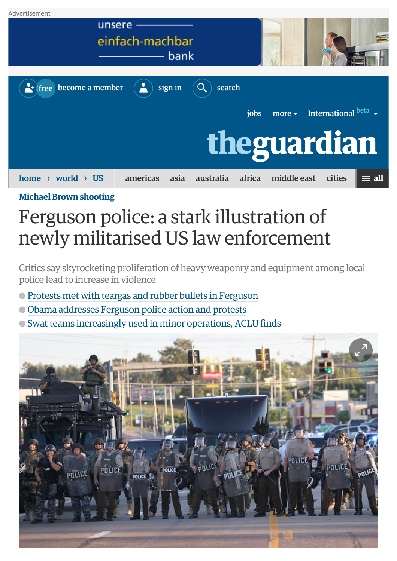

**[Michael Brown shooting](http://www.theguardian.com/us-news/michael-brown-shooting)**

## Ferguson police: a stark illustration of newly militarised US law enforcement

Critics say skyrocketing proliferation of heavy weaponry and equipment among local police lead to increase in violence

- [Protests met with teargas and rubber bullets in Ferguson](http://www.theguardian.com/world/2014/aug/14/ferguson-police-teargas-rubber-bullets-michael-brown)
- [Obama addresses Ferguson police action and protests](http://www.theguardian.com/world/live/2014/aug/14/erguson-protests-police-crackdown-michael-brown-shooting)
- [Swat teams increasingly used in minor operations, ACLU finds](http://www.theguardian.com/law/2014/jun/24/military-us-police-swat-teams-raids-aclu)

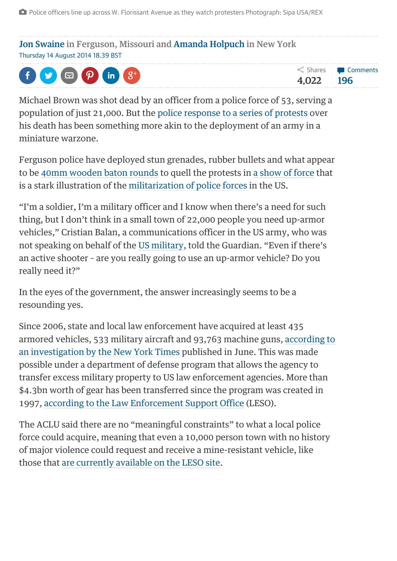[Jon Swaine](http://www.theguardian.com/profile/jon-swaine) in Ferguson, Missouri and [Amanda Holpuch](http://www.theguardian.com/profile/amanda-holpuch) in New York Thursday 14 August 2014 18.39 BST



Michael Brown was shot dead by an officer from a police force of 53, serving a population of just 21,000. But the [police response to a series of protests](http://www.theguardian.com/world/2014/aug/14/ferguson-police-teargas-rubber-bullets-michael-brown) over his death has been something more akin to the deployment of an army in a miniature warzone.

Ferguson police have deployed stun grenades, rubber bullets and what appear to be [40mm wooden baton rounds](http://www.theguardian.com/world/2014/aug/12/missouri-police-wooden-bullets-protest-michael-brown) to quell the protests in [a show of force](http://www.theguardian.com/world/2014/aug/14/ferguson-police-teargas-rubber-bullets-michael-brown) that is a stark illustration of the [militarization of police forces i](http://www.theguardian.com/law/2014/jun/24/military-us-police-swat-teams-raids-aclu)n the US.

"I'm a soldier, I'm a military officer and I know when there's a need for such thing, but I don't think in a small town of 22,000 people you need up-armor vehicles," Cristian Balan, a communications officer in the US army, who was not speaking on behalf of the [US military,](http://www.theguardian.com/us-news/us-military) told the Guardian. "Even if there's an active shooter – are you really going to use an up-armor vehicle? Do you really need it?"

In the eyes of the government, the answer increasingly seems to be a resounding yes.

Since 2006, state and local law enforcement have acquired at least 435 [armored vehicles, 533 military aircraft and 93,763 machine guns, according to](http://www.nytimes.com/2014/06/09/us/war-gear-flows-to-police-departments.html?_r=1) an investigation by the New York Times published in June. This was made possible under a department of defense program that allows the agency to transfer excess military property to US law enforcement agencies. More than \$4.3bn worth of gear has been transferred since the program was created in 1997, [according to the Law Enforcement Support Office](http://www.dispositionservices.dla.mil/leso/pages/default.aspx) (LESO).

The ACLU said there are no "meaningful constraints" to what a local police force could acquire, meaning that even a 10,000 person town with no history of major violence could request and receive a mine-resistant vehicle, like those that [are currently available on the LESO site.](http://www.dispositionservices.dla.mil/leso/Pages/Vehicles.aspx)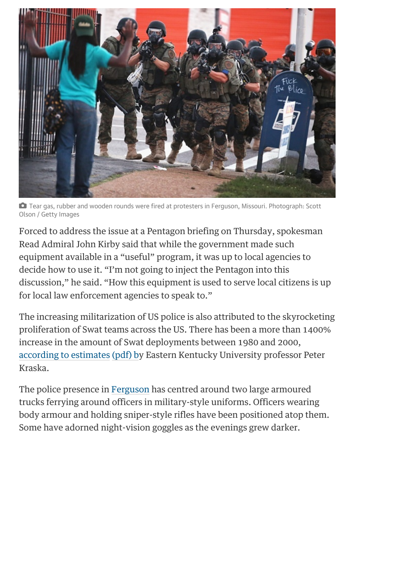

 Tear gas, rubber and wooden rounds were fired at protesters in Ferguson, Missouri. Photograph: Scott Olson / Getty Images

Forced to address the issue at a Pentagon briefing on Thursday, spokesman Read Admiral John Kirby said that while the government made such equipment available in a "useful" program, it was up to local agencies to decide how to use it. "I'm not going to inject the Pentagon into this discussion," he said. "How this equipment is used to serve local citizens is up for local law enforcement agencies to speak to."

The increasing militarization of US police is also attributed to the skyrocketing proliferation of Swat teams across the US. There has been a more than 1400% increase in the amount of Swat deployments between 1980 and 2000, [according to estimates](http://cjmasters.eku.edu/sites/cjmasters.eku.edu/files/21stmilitarization.pdf) [\(pdf\) by](http://cjmasters.eku.edu/sites/cjmasters.eku.edu/files/21stmilitarization.pdf) Eastern Kentucky University professor Peter Kraska.

The police presence in [Ferguson](http://www.theguardian.com/us-news/ferguson) has centred around two large armoured trucks ferrying around officers in military-style uniforms. Officers wearing body armour and holding sniper-style rifles have been positioned atop them. Some have adorned night-vision goggles as the evenings grew darker.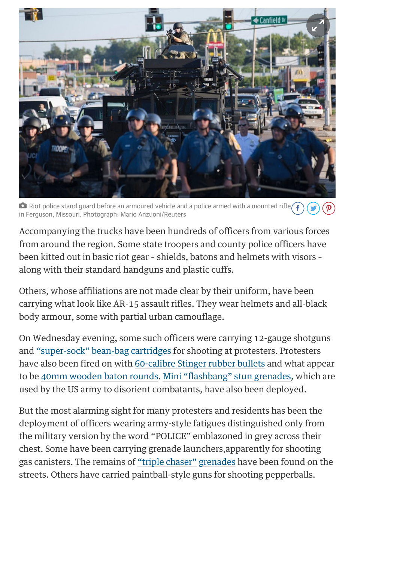

 $\bullet$  Riot police stand guard before an armoured vehicle and a police armed with a mounted rifle in Ferguson, Missouri. Photograph: Mario Anzuoni/Reuters

Accompanying the trucks have been hundreds of officers from various forces from around the region. Some state troopers and county police officers have been kitted out in basic riot gear – shields, batons and helmets with visors – along with their standard handguns and plastic cuffs.

Others, whose affiliations are not made clear by their uniform, have been carrying what look like AR-15 assault rifles. They wear helmets and all-black body armour, some with partial urban camouflage.

On Wednesday evening, some such officers were carrying 12-gauge shotguns and ["super-sock" bean-bag cartridges](http://www.officerstore.com/store/product.aspx/productId/18425/CTS-12ga-Super-Sock-Bean-Bag-Impact-Round-Box-of-5/) for shooting at protesters. Protesters have also been fired on with [60-calibre Stinger rubber bullets](http://www.defense-technology.com/products.aspx?pid=1199) and what appear to be [40mm wooden baton rounds](http://www.atlantictactical.com/product/def-tec-40mm-wood-baton-round). [Mini "flashbang" stun grenades,](http://www.officer.com/product/10041957/combined-systems-inc-7290m-mini-bang) which are used by the US army to disorient combatants, have also been deployed.

But the most alarming sight for many protesters and residents has been the deployment of officers wearing army-style fatigues distinguished only from the military version by the word "POLICE" emblazoned in grey across their chest. Some have been carrying grenade launchers,apparently for shooting gas canisters. The remains of ["triple chaser"](http://www.defense-technology.com/products.aspx?pid=1025) [grenades](http://www.defense-technology.com/products.aspx?pid=1025) have been found on the streets. Others have carried paintball-style guns for shooting pepperballs.